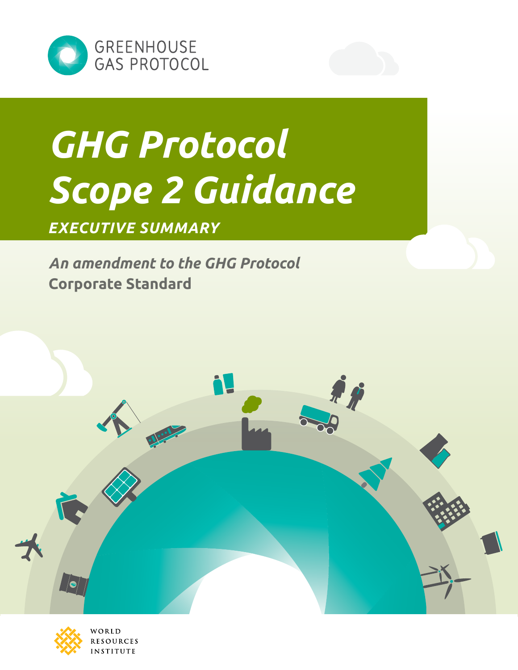

# *GHG Protocol Scope 2 Guidance*

# *executive summary*

*An amendment to the GHG Protocol*  **Corporate Standard** 





WORLD **RESOURCES INSTITUTE**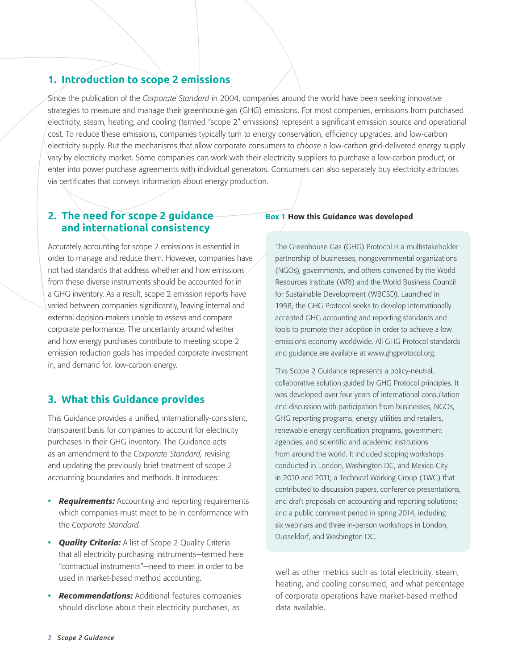# **1. Introduction to scope 2 emissions**

Since the publication of the *Corporate Standard* in 2004, companies around the world have been seeking innovative strategies to measure and manage their greenhouse gas (GHG) emissions. For most companies, emissions from purchased electricity, steam, heating, and cooling (termed "scope 2" emissions) represent a significant emission source and operational cost. To reduce these emissions, companies typically turn to energy conservation, efficiency upgrades, and low-carbon electricity supply. But the mechanisms that allow corporate consumers to *choose* a low-carbon grid-delivered energy supply vary by electricity market. Some companies can work with their electricity suppliers to purchase a low-carbon product, or enter into power purchase agreements with individual generators. Consumers can also separately buy electricity attributes via certificates that conveys information about energy production.

# **2. The need for scope 2 guidance and international consistency**

Accurately accounting for scope 2 emissions is essential in order to manage and reduce them. However, companies have not had standards that address whether and how emissions from these diverse instruments should be accounted for in a GHG inventory. As a result, scope 2 emission reports have varied between companies significantly, leaving internal and external decision-makers unable to assess and compare corporate performance. The uncertainty around whether and how energy purchases contribute to meeting scope 2 emission reduction goals has impeded corporate investment in, and demand for, low-carbon energy.

# **3. What this Guidance provides**

This Guidance provides a unified, internationally-consistent, transparent basis for companies to account for electricity purchases in their GHG inventory. The Guidance acts as an amendment to the *Corporate Standard,* revising and updating the previously brief treatment of scope 2 accounting boundaries and methods. It introduces:

- **•** *Requirements:* Accounting and reporting requirements which companies must meet to be in conformance with the *Corporate Standard.*
- **•** *Quality Criteria:* A list of Scope 2 Quality Criteria that all electricity purchasing instruments—termed here "contractual instruments"—need to meet in order to be used in market-based method accounting.
- **•** *Recommendations:* Additional features companies should disclose about their electricity purchases, as

#### Box 1 How this Guidance was developed

The Greenhouse Gas (GHG) Protocol is a multistakeholder partnership of businesses, nongovernmental organizations (NGOs), governments, and others convened by the World Resources Institute (WRI) and the World Business Council for Sustainable Development (WBCSD). Launched in 1998, the GHG Protocol seeks to develop internationally accepted GHG accounting and reporting standards and tools to promote their adoption in order to achieve a low emissions economy worldwide. All GHG Protocol standards and guidance are available at <www.ghgprotocol.org>.

This Scope 2 Guidance represents a policy-neutral, collaborative solution guided by GHG Protocol principles. It was developed over four years of international consultation and discussion with participation from businesses, NGOs, GHG reporting programs, energy utilities and retailers, renewable energy certification programs, government agencies, and scientific and academic institutions from around the world. It included scoping workshops conducted in London, Washington DC, and Mexico City in 2010 and 2011; a Technical Working Group (TWG) that contributed to discussion papers, conference presentations, and draft proposals on accounting and reporting solutions; and a public comment period in spring 2014, including six webinars and three in-person workshops in London, Dusseldorf, and Washington DC.

well as other metrics such as total electricity, steam, heating, and cooling consumed, and what percentage of corporate operations have market-based method data available.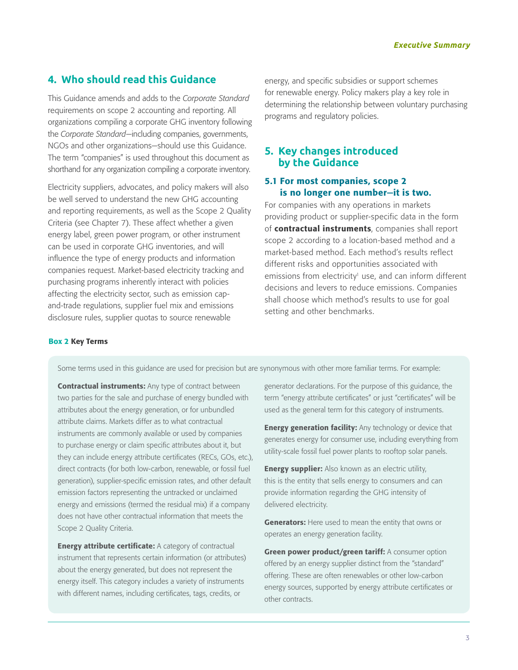# **4. Who should read this Guidance**

This Guidance amends and adds to the *Corporate Standard*  requirements on scope 2 accounting and reporting. All organizations compiling a corporate GHG inventory following the *Corporate Standard—*including companies, governments, NGOs and other organizations—should use this Guidance. The term "companies" is used throughout this document as shorthand for any organization compiling a corporate inventory.

Electricity suppliers, advocates, and policy makers will also be well served to understand the new GHG accounting and reporting requirements, as well as the Scope 2 Quality Criteria (see Chapter 7). These affect whether a given energy label, green power program, or other instrument can be used in corporate GHG inventories, and will influence the type of energy products and information companies request. Market-based electricity tracking and purchasing programs inherently interact with policies affecting the electricity sector, such as emission capand-trade regulations, supplier fuel mix and emissions disclosure rules, supplier quotas to source renewable

energy, and specific subsidies or support schemes for renewable energy. Policy makers play a key role in determining the relationship between voluntary purchasing programs and regulatory policies.

# **5. Key changes introduced by the Guidance**

## 5.1 For most companies, scope 2 is no longer one number—it is two.

For companies with any operations in markets providing product or supplier-specific data in the form of contractual instruments, companies shall report scope 2 according to a location-based method and a market-based method. Each method's results reflect different risks and opportunities associated with emissions from electricity<sup>1</sup> use, and can inform different decisions and levers to reduce emissions. Companies shall choose which method's results to use for goal setting and other benchmarks.

#### Box 2 Key Terms

Some terms used in this guidance are used for precision but are synonymous with other more familiar terms. For example:

**Contractual instruments:** Any type of contract between two parties for the sale and purchase of energy bundled with attributes about the energy generation, or for unbundled attribute claims. Markets differ as to what contractual instruments are commonly available or used by companies to purchase energy or claim specific attributes about it, but they can include energy attribute certificates (RECs, GOs, etc.), direct contracts (for both low-carbon, renewable, or fossil fuel generation), supplier-specific emission rates, and other default emission factors representing the untracked or unclaimed energy and emissions (termed the residual mix) if a company does not have other contractual information that meets the Scope 2 Quality Criteria.

**Energy attribute certificate:** A category of contractual instrument that represents certain information (or attributes) about the energy generated, but does not represent the energy itself. This category includes a variety of instruments with different names, including certificates, tags, credits, or

generator declarations. For the purpose of this guidance, the term "energy attribute certificates" or just "certificates" will be used as the general term for this category of instruments.

**Energy generation facility:** Any technology or device that generates energy for consumer use, including everything from utility-scale fossil fuel power plants to rooftop solar panels.

**Energy supplier:** Also known as an electric utility, this is the entity that sells energy to consumers and can provide information regarding the GHG intensity of delivered electricity.

**Generators:** Here used to mean the entity that owns or operates an energy generation facility.

Green power product/green tariff: A consumer option offered by an energy supplier distinct from the "standard" offering. These are often renewables or other low-carbon energy sources, supported by energy attribute certificates or other contracts.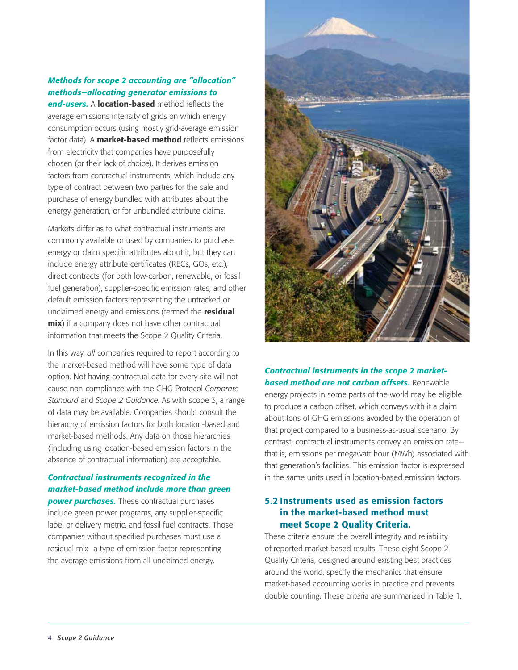# *Methods for scope 2 accounting are "allocation" methods—allocating generator emissions to*

*end-users.* A location-based method reflects the average emissions intensity of grids on which energy consumption occurs (using mostly grid-average emission factor data). A **market-based method** reflects emissions from electricity that companies have purposefully chosen (or their lack of choice). It derives emission factors from contractual instruments, which include any type of contract between two parties for the sale and purchase of energy bundled with attributes about the energy generation, or for unbundled attribute claims.

Markets differ as to what contractual instruments are commonly available or used by companies to purchase energy or claim specific attributes about it, but they can include energy attribute certificates (RECs, GOs, etc.), direct contracts (for both low-carbon, renewable, or fossil fuel generation), supplier-specific emission rates, and other default emission factors representing the untracked or unclaimed energy and emissions (termed the residual **mix**) if a company does not have other contractual information that meets the Scope 2 Quality Criteria.

In this way, *all* companies required to report according to the market-based method will have some type of data option. Not having contractual data for every site will not cause non-compliance with the GHG Protocol *Corporate Standard* and *Scope 2 Guidance*. As with scope 3, a range of data may be available. Companies should consult the hierarchy of emission factors for both location-based and market-based methods. Any data on those hierarchies (including using location-based emission factors in the absence of contractual information) are acceptable.

# *Contractual instruments recognized in the market-based method include more than green*

**power purchases.** These contractual purchases include green power programs, any supplier-specific label or delivery metric, and fossil fuel contracts. Those companies without specified purchases must use a residual mix—a type of emission factor representing the average emissions from all unclaimed energy.



# *Contractual instruments in the scope 2 marketbased method are not carbon offsets.* Renewable

energy projects in some parts of the world may be eligible to produce a carbon offset, which conveys with it a claim about tons of GHG emissions avoided by the operation of that project compared to a business-as-usual scenario. By contrast, contractual instruments convey an emission rate that is, emissions per megawatt hour (MWh) associated with that generation's facilities. This emission factor is expressed in the same units used in location-based emission factors.

# 5.2 Instruments used as emission factors in the market-based method must meet Scope 2 Quality Criteria.

These criteria ensure the overall integrity and reliability of reported market-based results. These eight Scope 2 Quality Criteria, designed around existing best practices around the world, specify the mechanics that ensure market-based accounting works in practice and prevents double counting. These criteria are summarized in Table 1.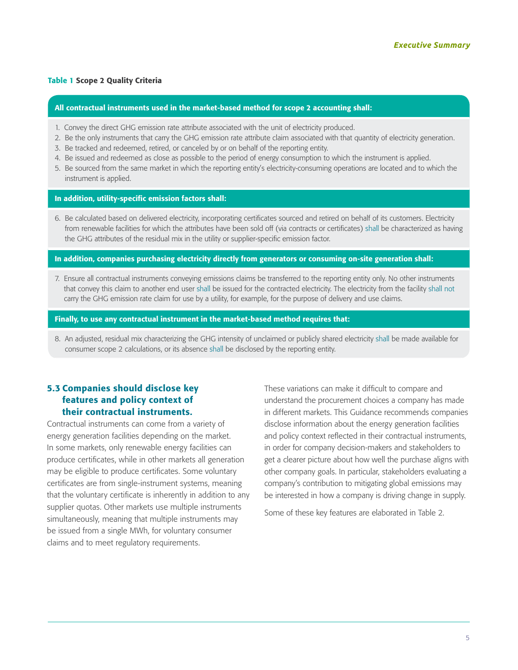#### Table 1 Scope 2 Quality Criteria

#### All contractual instruments used in the market-based method for scope 2 accounting shall:

- 1. Convey the direct GHG emission rate attribute associated with the unit of electricity produced.
- 2. Be the only instruments that carry the GHG emission rate attribute claim associated with that quantity of electricity generation.
- 3. Be tracked and redeemed, retired, or canceled by or on behalf of the reporting entity.
- 4. Be issued and redeemed as close as possible to the period of energy consumption to which the instrument is applied.
- 5. Be sourced from the same market in which the reporting entity's electricity-consuming operations are located and to which the instrument is applied.

#### In addition, utility-specific emission factors shall:

6. Be calculated based on delivered electricity, incorporating certificates sourced and retired on behalf of its customers. Electricity from renewable facilities for which the attributes have been sold off (via contracts or certificates) shall be characterized as having the GHG attributes of the residual mix in the utility or supplier-specific emission factor.

#### In addition, companies purchasing electricity directly from generators or consuming on-site generation shall:

7. Ensure all contractual instruments conveying emissions claims be transferred to the reporting entity only. No other instruments that convey this claim to another end user shall be issued for the contracted electricity. The electricity from the facility shall not carry the GHG emission rate claim for use by a utility, for example, for the purpose of delivery and use claims.

#### Finally, to use any contractual instrument in the market-based method requires that:

8. An adjusted, residual mix characterizing the GHG intensity of unclaimed or publicly shared electricity shall be made available for consumer scope 2 calculations, or its absence shall be disclosed by the reporting entity.

# 5.3 Companies should disclose key features and policy context of their contractual instruments.

Contractual instruments can come from a variety of energy generation facilities depending on the market. In some markets, only renewable energy facilities can produce certificates, while in other markets all generation may be eligible to produce certificates. Some voluntary certificates are from single-instrument systems, meaning that the voluntary certificate is inherently in addition to any supplier quotas. Other markets use multiple instruments simultaneously, meaning that multiple instruments may be issued from a single MWh, for voluntary consumer claims and to meet regulatory requirements.

These variations can make it difficult to compare and understand the procurement choices a company has made in different markets. This Guidance recommends companies disclose information about the energy generation facilities and policy context reflected in their contractual instruments, in order for company decision-makers and stakeholders to get a clearer picture about how well the purchase aligns with other company goals. In particular, stakeholders evaluating a company's contribution to mitigating global emissions may be interested in how a company is driving change in supply.

Some of these key features are elaborated in Table 2.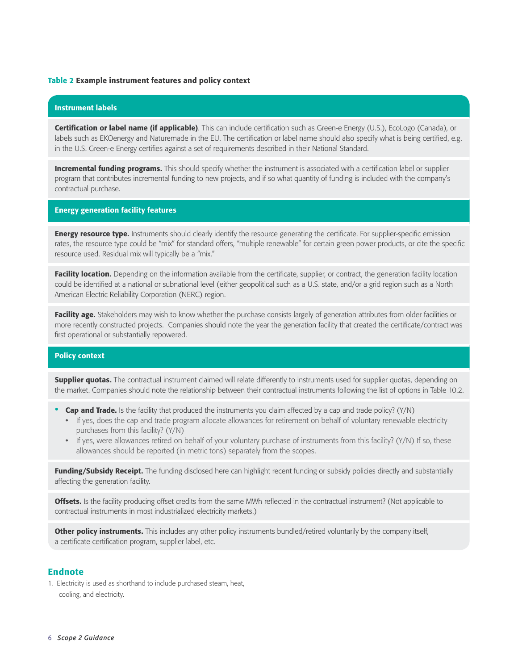#### Table 2 Example instrument features and policy context

#### Instrument labels

Certification or label name (if applicable). This can include certification such as Green-e Energy (U.S.), EcoLogo (Canada), or labels such as EKOenergy and Naturemade in the EU. The certification or label name should also specify what is being certified, e.g. in the U.S. Green-e Energy certifies against a set of requirements described in their National Standard.

Incremental funding programs. This should specify whether the instrument is associated with a certification label or supplier program that contributes incremental funding to new projects, and if so what quantity of funding is included with the company's contractual purchase.

#### Energy generation facility features

**Energy resource type.** Instruments should clearly identify the resource generating the certificate. For supplier-specific emission rates, the resource type could be "mix" for standard offers, "multiple renewable" for certain green power products, or cite the specific resource used. Residual mix will typically be a "mix."

Facility location. Depending on the information available from the certificate, supplier, or contract, the generation facility location could be identified at a national or subnational level (either geopolitical such as a U.S. state, and/or a grid region such as a North American Electric Reliability Corporation (NERC) region.

Facility age. Stakeholders may wish to know whether the purchase consists largely of generation attributes from older facilities or more recently constructed projects. Companies should note the year the generation facility that created the certificate/contract was first operational or substantially repowered.

#### Policy context

**Supplier quotas.** The contractual instrument claimed will relate differently to instruments used for supplier quotas, depending on the market. Companies should note the relationship between their contractual instruments following the list of options in Table 10.2.

- **Cap and Trade.** Is the facility that produced the instruments you claim affected by a cap and trade policy? ( $Y/N$ )
	- **•** If yes, does the cap and trade program allocate allowances for retirement on behalf of voluntary renewable electricity purchases from this facility? (Y/N)
	- **•** If yes, were allowances retired on behalf of your voluntary purchase of instruments from this facility? (Y/N) If so, these allowances should be reported (in metric tons) separately from the scopes.

Funding/Subsidy Receipt. The funding disclosed here can highlight recent funding or subsidy policies directly and substantially affecting the generation facility.

**Offsets.** Is the facility producing offset credits from the same MWh reflected in the contractual instrument? (Not applicable to contractual instruments in most industrialized electricity markets.)

Other policy instruments. This includes any other policy instruments bundled/retired voluntarily by the company itself, a certificate certification program, supplier label, etc.

#### **Endnote**

1. Electricity is used as shorthand to include purchased steam, heat, cooling, and electricity.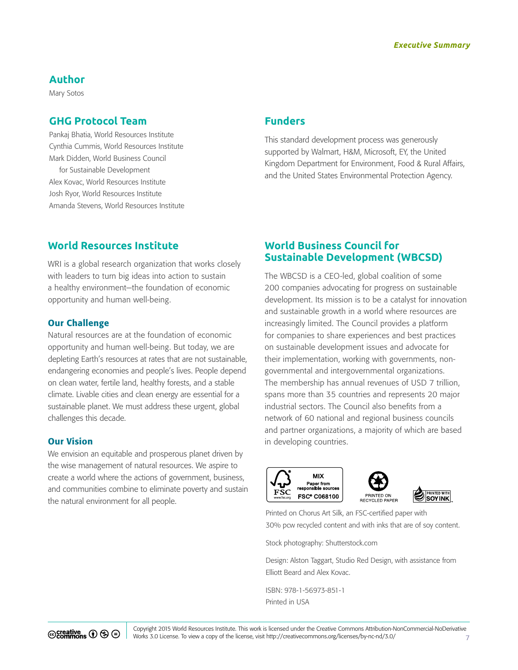# **Author**

Mary Sotos

# **Ghg Protocol Team**

Pankaj Bhatia, World Resources Institute Cynthia Cummis, World Resources Institute Mark Didden, World Business Council for Sustainable Development Alex Kovac, World Resources Institute Josh Ryor, World Resources Institute Amanda Stevens, World Resources Institute

# **Funders**

This standard development process was generously supported by Walmart, H&M, Microsoft, EY, the United Kingdom Department for Environment, Food & Rural Affairs, and the United States Environmental Protection Agency.

# **World Resources Institute**

WRI is a global research organization that works closely with leaders to turn big ideas into action to sustain a healthy environment—the foundation of economic opportunity and human well-being.

#### Our Challenge

Natural resources are at the foundation of economic opportunity and human well-being. But today, we are depleting Earth's resources at rates that are not sustainable, endangering economies and people's lives. People depend on clean water, fertile land, healthy forests, and a stable climate. Livable cities and clean energy are essential for a sustainable planet. We must address these urgent, global challenges this decade.

## Our Vision

We envision an equitable and prosperous planet driven by the wise management of natural resources. We aspire to create a world where the actions of government, business, and communities combine to eliminate poverty and sustain the natural environment for all people.

# **World Business Council for Sustainable Development (WBCSD)**

The WBCSD is a CEO-led, global coalition of some 200 companies advocating for progress on sustainable development. Its mission is to be a catalyst for innovation and sustainable growth in a world where resources are increasingly limited. The Council provides a platform for companies to share experiences and best practices on sustainable development issues and advocate for their implementation, working with governments, nongovernmental and intergovernmental organizations. The membership has annual revenues of USD 7 trillion, spans more than 35 countries and represents 20 major industrial sectors. The Council also benefits from a network of 60 national and regional business councils and partner organizations, a majority of which are based in developing countries.







Printed on Chorus Art Silk, an FSC-certified paper with 30% pcw recycled content and with inks that are of soy content.

Stock photography:<Shutterstock.com>

Design: Alston Taggart, Studio Red Design, with assistance from Elliott Beard and Alex Kovac.

ISBN: 978-1-56973-851-1 Printed in USA